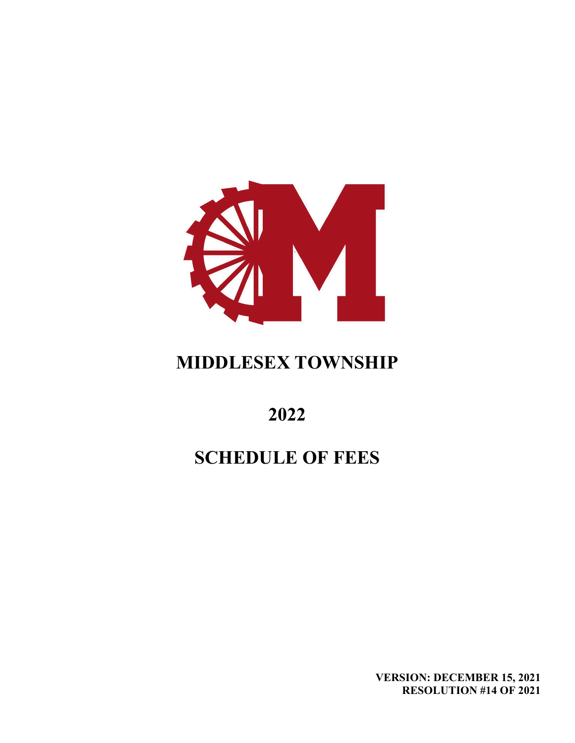

# **MIDDLESEX TOWNSHIP**

**2022**

# **SCHEDULE OF FEES**

**VERSION: DECEMBER 15, 2021 RESOLUTION #14 OF 2021**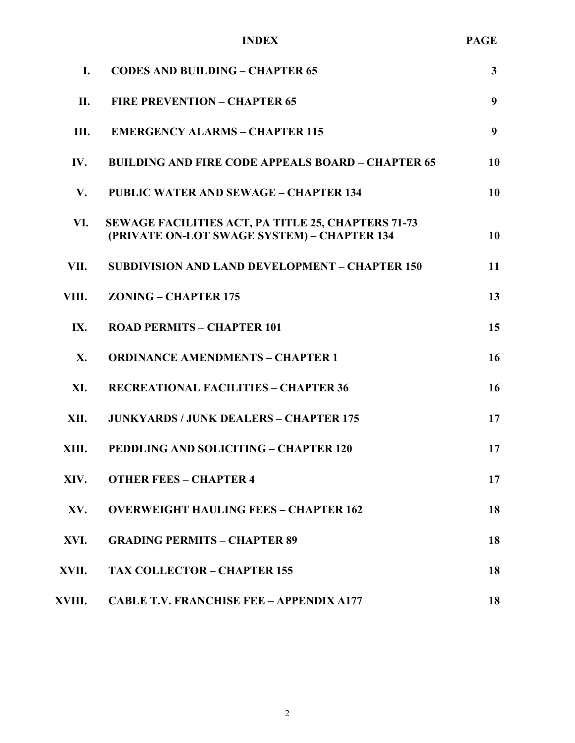|        | <b>INDEX</b>                                                                                             | <b>PAGE</b>  |
|--------|----------------------------------------------------------------------------------------------------------|--------------|
| I.     | <b>CODES AND BUILDING - CHAPTER 65</b>                                                                   | $\mathbf{3}$ |
| II.    | <b>FIRE PREVENTION - CHAPTER 65</b>                                                                      | 9            |
| Ш.     | <b>EMERGENCY ALARMS - CHAPTER 115</b>                                                                    | 9            |
| IV.    | <b>BUILDING AND FIRE CODE APPEALS BOARD – CHAPTER 65</b>                                                 | 10           |
| V.     | <b>PUBLIC WATER AND SEWAGE - CHAPTER 134</b>                                                             | 10           |
| VI.    | <b>SEWAGE FACILITIES ACT, PA TITLE 25, CHAPTERS 71-73</b><br>(PRIVATE ON-LOT SWAGE SYSTEM) - CHAPTER 134 | 10           |
| VII.   | <b>SUBDIVISION AND LAND DEVELOPMENT - CHAPTER 150</b>                                                    | 11           |
| VIII.  | <b>ZONING – CHAPTER 175</b>                                                                              | 13           |
| IX.    | <b>ROAD PERMITS - CHAPTER 101</b>                                                                        | 15           |
| X.     | <b>ORDINANCE AMENDMENTS - CHAPTER 1</b>                                                                  | 16           |
| XI.    | <b>RECREATIONAL FACILITIES - CHAPTER 36</b>                                                              | 16           |
| XII.   | <b>JUNKYARDS / JUNK DEALERS - CHAPTER 175</b>                                                            | 17           |
| XIII.  | <b>PEDDLING AND SOLICITING - CHAPTER 120</b>                                                             | 17           |
| XIV.   | <b>OTHER FEES - CHAPTER 4</b>                                                                            | 17           |
| XV.    | <b>OVERWEIGHT HAULING FEES - CHAPTER 162</b>                                                             | 18           |
| XVI.   | <b>GRADING PERMITS - CHAPTER 89</b>                                                                      | 18           |
| XVII.  | <b>TAX COLLECTOR - CHAPTER 155</b>                                                                       | 18           |
| XVIII. | <b>CABLE T.V. FRANCHISE FEE - APPENDIX A177</b>                                                          | 18           |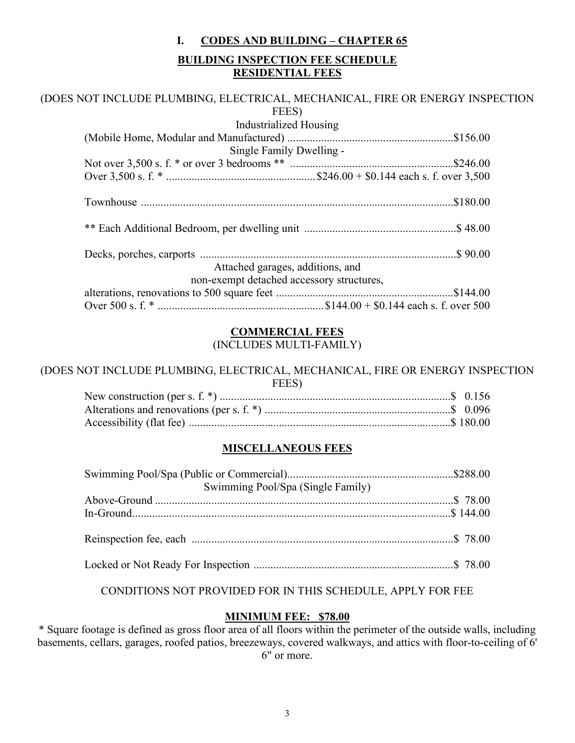# **I. CODES AND BUILDING – CHAPTER 65 BUILDING INSPECTION FEE SCHEDULE RESIDENTIAL FEES**

### (DOES NOT INCLUDE PLUMBING, ELECTRICAL, MECHANICAL, FIRE OR ENERGY INSPECTION FEES)

| <b>Industrialized Housing</b>             |  |
|-------------------------------------------|--|
|                                           |  |
| Single Family Dwelling -                  |  |
|                                           |  |
|                                           |  |
|                                           |  |
|                                           |  |
|                                           |  |
|                                           |  |
|                                           |  |
|                                           |  |
| Attached garages, additions, and          |  |
| non-exempt detached accessory structures, |  |
|                                           |  |
|                                           |  |

#### **COMMERCIAL FEES** (INCLUDES MULTI-FAMILY)

(DOES NOT INCLUDE PLUMBING, ELECTRICAL, MECHANICAL, FIRE OR ENERGY INSPECTION FEES)

### **MISCELLANEOUS FEES**

| Swimming Pool/Spa (Single Family) |  |
|-----------------------------------|--|
|                                   |  |
|                                   |  |
|                                   |  |
|                                   |  |
|                                   |  |
|                                   |  |
|                                   |  |

CONDITIONS NOT PROVIDED FOR IN THIS SCHEDULE, APPLY FOR FEE

### **MINIMUM FEE: \$78.00**

\* Square footage is defined as gross floor area of all floors within the perimeter of the outside walls, including basements, cellars, garages, roofed patios, breezeways, covered walkways, and attics with floor-to-ceiling of 6' 6" or more.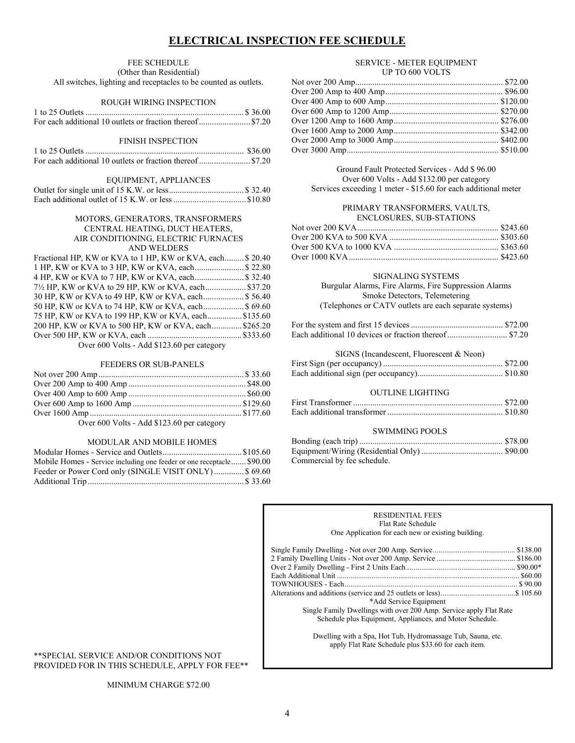### **ELECTRICAL INSPECTION FEE SCHEDULE**

#### FEE SCHEDULE (Other than Residential) All switches, lighting and receptacles to be counted as outlets.

#### ROUGH WIRING INSPECTION

#### FINISH INSPECTION

#### EQUIPMENT, APPLIANCES

#### MOTORS, GENERATORS, TRANSFORMERS CENTRAL HEATING, DUCT HEATERS, AIR CONDITIONING, ELECTRIC FURNACES AND WELDERS

| Fractional HP, KW or KVA to 1 HP, KW or KVA, each \$20.40                     |  |
|-------------------------------------------------------------------------------|--|
| 1 HP, KW or KVA to 3 HP, KW or KVA, each \$22.80                              |  |
| 4 HP, KW or KVA to 7 HP, KW or KVA, each \$32.40                              |  |
| 7 <sup>1</sup> / <sub>2</sub> HP, KW or KVA to 29 HP, KW or KVA, each \$37.20 |  |
| 30 HP, KW or KVA to 49 HP, KW or KVA, each \$56.40                            |  |
| 50 HP, KW or KVA to 74 HP, KW or KVA, each \$ 69.60                           |  |
| 75 HP, KW or KVA to 199 HP, KW or KVA, each\$135.60                           |  |
| 200 HP, KW or KVA to 500 HP, KW or KVA, each \$265.20                         |  |
|                                                                               |  |
| Over 600 Volts - Add \$123.60 per category                                    |  |

#### FEEDERS OR SUB-PANELS

| $\alpha$ (00 V U A 11 0100 C O |  |
|--------------------------------|--|

Over 600 Volts - Add \$123.60 per category

#### MODULAR AND MOBILE HOMES

| Mobile Homes - Service including one feeder or one receptacle\$90.00 |  |
|----------------------------------------------------------------------|--|
| Feeder or Power Cord only (SINGLE VISIT ONLY) \$69.60                |  |
|                                                                      |  |

#### SERVICE - METER EQUIPMENT UP TO 600 VOLTS

Ground Fault Protected Services - Add \$ 96.00 Over 600 Volts - Add \$132.00 per category Services exceeding 1 meter - \$15.60 for each additional meter

#### PRIMARY TRANSFORMERS, VAULTS, ENCLOSURES, SUB-STATIONS

#### SIGNALING SYSTEMS

Burgular Alarms, Fire Alarms, Fire Suppression Alarms Smoke Detectors, Telemetering (Telephones or CATV outlets are each separate systems)

#### For the system and first 15 devices........................................... \$72.00 Each additional 10 devices or fraction thereof............................ \$7.20

#### SIGNS (Incandescent, Fluorescent & Neon)

#### OUTLINE LIGHTING

#### SWIMMING POOLS

| Commercial by fee schedule. |  |
|-----------------------------|--|

#### RESIDENTIAL FEES Flat Rate Schedule One Application for each new or existing building.

| *Add Service Equipment                                             |  |  |
|--------------------------------------------------------------------|--|--|
| Single Family Dwellings with over 200 Amp. Service apply Flat Rate |  |  |
| Schedule plus Equipment, Appliances, and Motor Schedule.           |  |  |
|                                                                    |  |  |
| Dwelling with a Spa. Hot Tub, Hydromassage Tub, Sauna etc.         |  |  |

Dwelling with a Spa, Hot Tub, Hydromassage Tub, Sauna, etc. apply Flat Rate Schedule plus \$33.60 for each item.

#### \*\*SPECIAL SERVICE AND/OR CONDITIONS NOT PROVIDED FOR IN THIS SCHEDULE, APPLY FOR FEE\*\*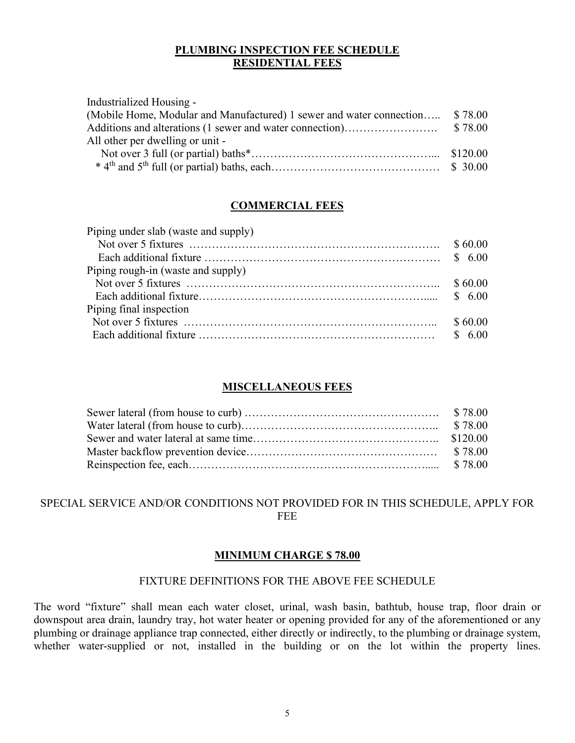#### **PLUMBING INSPECTION FEE SCHEDULE RESIDENTIAL FEES**

Industrialized Housing - (Mobile Home, Modular and Manufactured) 1 sewer and water connection….. \$ 78.00 Additions and alterations (1 sewer and water connection)……………………. \$ 78.00 All other per dwelling or unit - Not over 3 full (or partial) baths\*…………………………………………... \$120.00 \* 4th and 5th full (or partial) baths, each……………………………………… \$ 30.00

#### **COMMERCIAL FEES**

| Piping under slab (waste and supply) |         |
|--------------------------------------|---------|
|                                      |         |
|                                      |         |
| Piping rough-in (waste and supply)   |         |
|                                      |         |
|                                      |         |
| Piping final inspection              |         |
|                                      | \$60.00 |
|                                      |         |

#### **MISCELLANEOUS FEES**

### SPECIAL SERVICE AND/OR CONDITIONS NOT PROVIDED FOR IN THIS SCHEDULE, APPLY FOR FEE

#### **MINIMUM CHARGE \$ 78.00**

#### FIXTURE DEFINITIONS FOR THE ABOVE FEE SCHEDULE

The word "fixture" shall mean each water closet, urinal, wash basin, bathtub, house trap, floor drain or downspout area drain, laundry tray, hot water heater or opening provided for any of the aforementioned or any plumbing or drainage appliance trap connected, either directly or indirectly, to the plumbing or drainage system, whether water-supplied or not, installed in the building or on the lot within the property lines.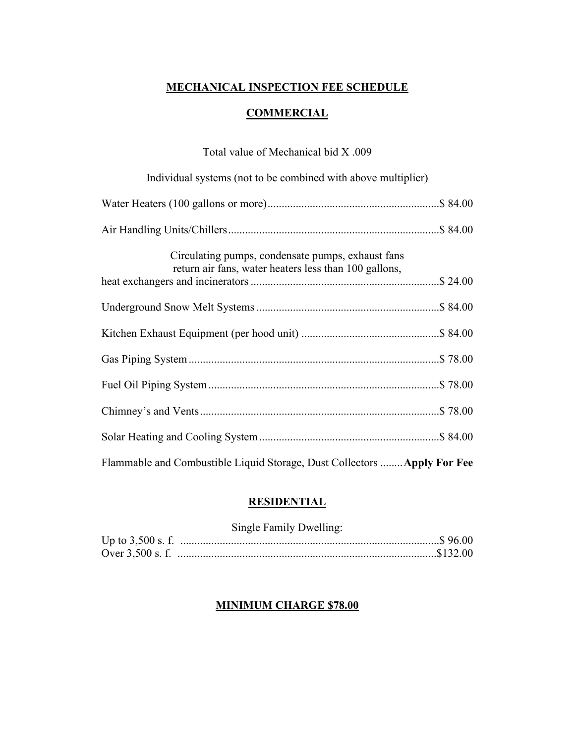# **MECHANICAL INSPECTION FEE SCHEDULE**

# **COMMERCIAL**

# Total value of Mechanical bid X .009

| Individual systems (not to be combined with above multiplier)                                              |  |  |
|------------------------------------------------------------------------------------------------------------|--|--|
|                                                                                                            |  |  |
|                                                                                                            |  |  |
| Circulating pumps, condensate pumps, exhaust fans<br>return air fans, water heaters less than 100 gallons, |  |  |
|                                                                                                            |  |  |
|                                                                                                            |  |  |
|                                                                                                            |  |  |
|                                                                                                            |  |  |
|                                                                                                            |  |  |
|                                                                                                            |  |  |
| Flammable and Combustible Liquid Storage, Dust Collectors  Apply For Fee                                   |  |  |

# **RESIDENTIAL**

| Single Family Dwelling: |  |
|-------------------------|--|
|                         |  |
|                         |  |

# **MINIMUM CHARGE \$78.00**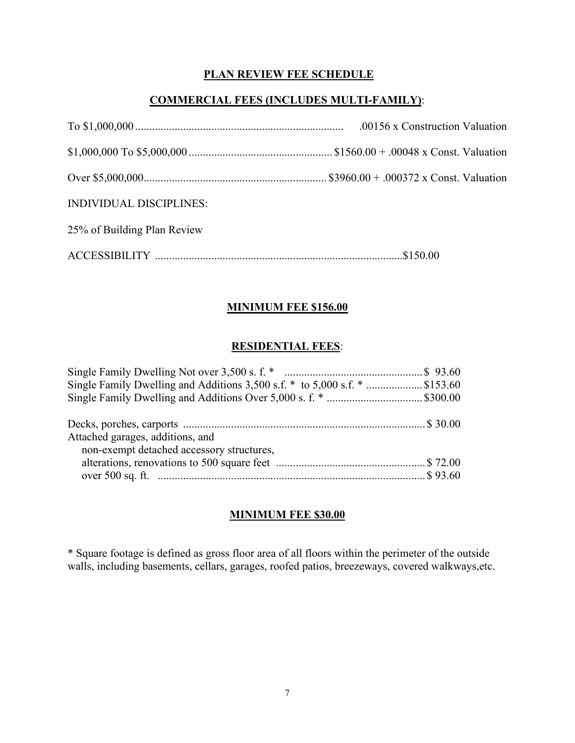### **PLAN REVIEW FEE SCHEDULE**

# **COMMERCIAL FEES (INCLUDES MULTI-FAMILY)**:

| <b>INDIVIDUAL DISCIPLINES:</b> |  |
|--------------------------------|--|
| 25% of Building Plan Review    |  |
|                                |  |

### **MINIMUM FEE \$156.00**

### **RESIDENTIAL FEES**:

| Single Family Dwelling and Additions 3,500 s.f. $*$ to 5,000 s.f. $*$ \$153.60 |  |
|--------------------------------------------------------------------------------|--|
|                                                                                |  |
|                                                                                |  |
| Attached garages, additions, and                                               |  |
| non-exempt detached accessory structures,                                      |  |
|                                                                                |  |
|                                                                                |  |

### **MINIMUM FEE \$30.00**

\* Square footage is defined as gross floor area of all floors within the perimeter of the outside walls, including basements, cellars, garages, roofed patios, breezeways, covered walkways,etc.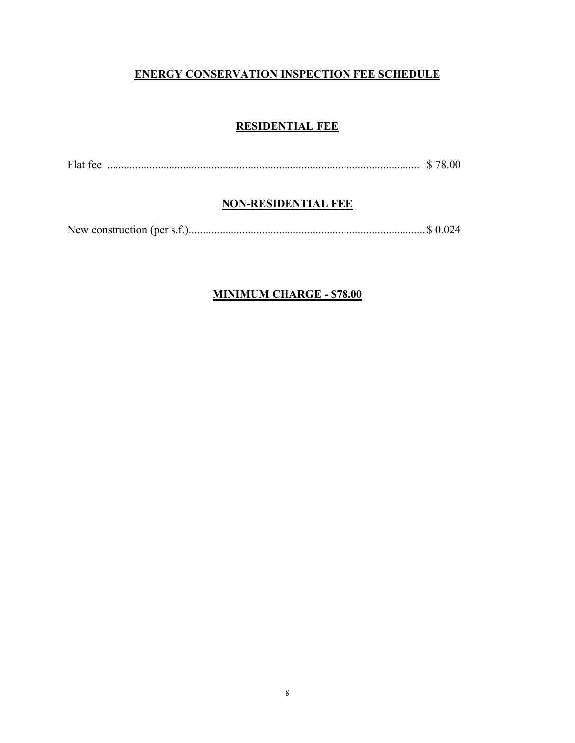# **ENERGY CONSERVATION INSPECTION FEE SCHEDULE**

# **RESIDENTIAL FEE**

Flat fee ............................................................................................................... \$ 78.00

### **NON-RESIDENTIAL FEE**

|--|--|--|--|--|

### **MINIMUM CHARGE - \$78.00**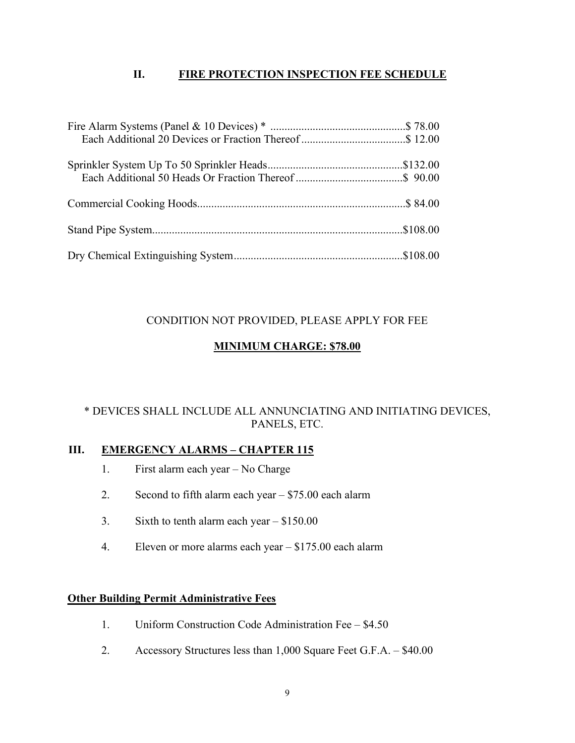# **II. FIRE PROTECTION INSPECTION FEE SCHEDULE**

# CONDITION NOT PROVIDED, PLEASE APPLY FOR FEE

# **MINIMUM CHARGE: \$78.00**

# \* DEVICES SHALL INCLUDE ALL ANNUNCIATING AND INITIATING DEVICES, PANELS, ETC.

### **III. EMERGENCY ALARMS – CHAPTER 115**

- 1. First alarm each year No Charge
- 2. Second to fifth alarm each year \$75.00 each alarm
- 3. Sixth to tenth alarm each year \$150.00
- 4. Eleven or more alarms each year \$175.00 each alarm

# **Other Building Permit Administrative Fees**

- 1. Uniform Construction Code Administration Fee \$4.50
- 2. Accessory Structures less than 1,000 Square Feet G.F.A. \$40.00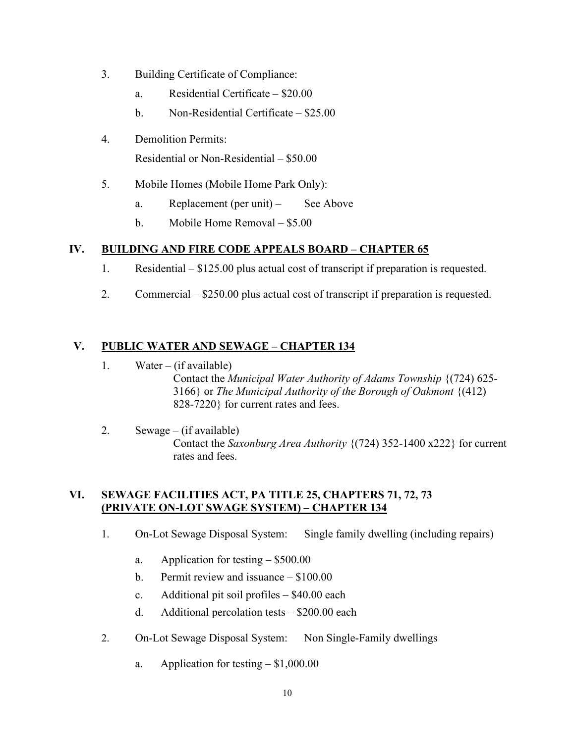- 3. Building Certificate of Compliance:
	- a. Residential Certificate \$20.00
	- b. Non-Residential Certificate \$25.00
- 4. Demolition Permits: Residential or Non-Residential – \$50.00
- 5. Mobile Homes (Mobile Home Park Only):
	- a. Replacement (per unit) See Above
	- b. Mobile Home Removal \$5.00

# **IV. BUILDING AND FIRE CODE APPEALS BOARD – CHAPTER 65**

- 1. Residential \$125.00 plus actual cost of transcript if preparation is requested.
- 2. Commercial \$250.00 plus actual cost of transcript if preparation is requested.

# **V. PUBLIC WATER AND SEWAGE – CHAPTER 134**

- 1. Water (if available) Contact the *Municipal Water Authority of Adams Township* {(724) 625- 3166} or *The Municipal Authority of the Borough of Oakmont* {(412) 828-7220} for current rates and fees.
- 2. Sewage  $(i$ f available) Contact the *Saxonburg Area Authority* {(724) 352-1400 x222} for current rates and fees.

# **VI. SEWAGE FACILITIES ACT, PA TITLE 25, CHAPTERS 71, 72, 73 (PRIVATE ON-LOT SWAGE SYSTEM) – CHAPTER 134**

- 1. On-Lot Sewage Disposal System: Single family dwelling (including repairs)
	- a. Application for testing \$500.00
	- b. Permit review and issuance \$100.00
	- c. Additional pit soil profiles \$40.00 each
	- d. Additional percolation tests \$200.00 each
- 2. On-Lot Sewage Disposal System: Non Single-Family dwellings
	- a. Application for testing \$1,000.00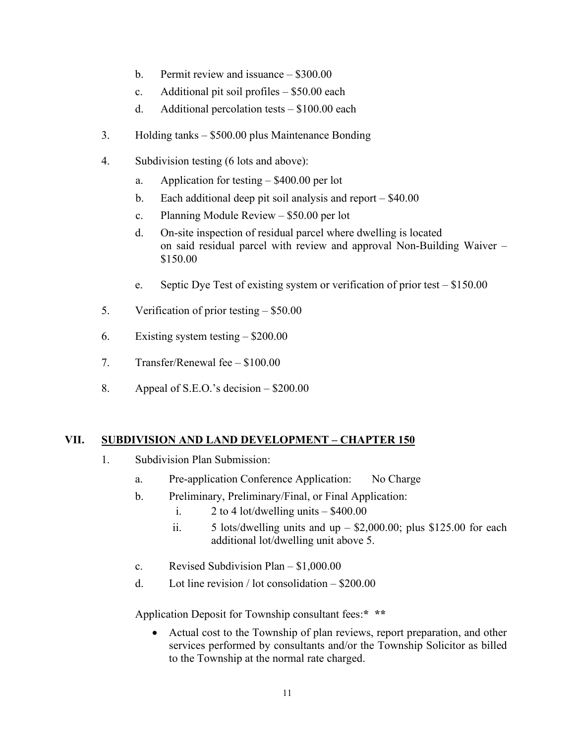- b. Permit review and issuance \$300.00
- c. Additional pit soil profiles \$50.00 each
- d. Additional percolation tests \$100.00 each
- 3. Holding tanks \$500.00 plus Maintenance Bonding
- 4. Subdivision testing (6 lots and above):
	- a. Application for testing \$400.00 per lot
	- b. Each additional deep pit soil analysis and report \$40.00
	- c. Planning Module Review \$50.00 per lot
	- d. On-site inspection of residual parcel where dwelling is located on said residual parcel with review and approval Non-Building Waiver – \$150.00
	- e. Septic Dye Test of existing system or verification of prior test \$150.00
- 5. Verification of prior testing \$50.00
- 6. Existing system testing \$200.00
- 7. Transfer/Renewal fee \$100.00
- 8. Appeal of S.E.O.'s decision  $-$  \$200.00

### **VII. SUBDIVISION AND LAND DEVELOPMENT – CHAPTER 150**

- 1. Subdivision Plan Submission:
	- a. Pre-application Conference Application: No Charge
	- b. Preliminary, Preliminary/Final, or Final Application:
		- i.  $2 \text{ to } 4$  lot/dwelling units  $$400.00$
		- ii. 5 lots/dwelling units and up  $-$  \$2,000.00; plus \$125.00 for each additional lot/dwelling unit above 5.
	- c. Revised Subdivision Plan \$1,000.00
	- d. Lot line revision / lot consolidation \$200.00

Application Deposit for Township consultant fees:**\* \*\***

• Actual cost to the Township of plan reviews, report preparation, and other services performed by consultants and/or the Township Solicitor as billed to the Township at the normal rate charged.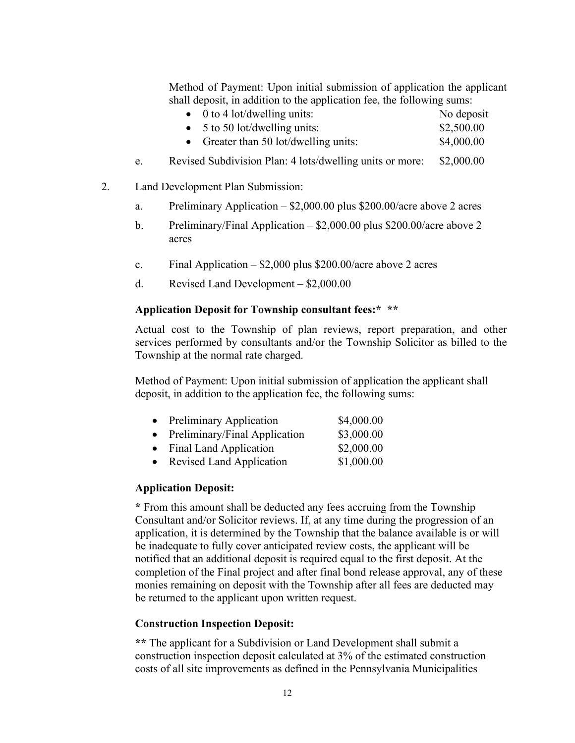Method of Payment: Upon initial submission of application the applicant shall deposit, in addition to the application fee, the following sums:

- 0 to 4 lot/dwelling units: No deposit
- $5$  to  $50$  lot/dwelling units: \$2,500.00
- Greater than 50 lot/dwelling units: \$4,000.00
- e. Revised Subdivision Plan: 4 lots/dwelling units or more: \$2,000.00
- 2. Land Development Plan Submission:
	- a. Preliminary Application \$2,000.00 plus \$200.00/acre above 2 acres
	- b. Preliminary/Final Application \$2,000.00 plus \$200.00/acre above 2 acres
	- c. Final Application \$2,000 plus \$200.00/acre above 2 acres
	- d. Revised Land Development \$2,000.00

### **Application Deposit for Township consultant fees:\* \*\***

Actual cost to the Township of plan reviews, report preparation, and other services performed by consultants and/or the Township Solicitor as billed to the Township at the normal rate charged.

Method of Payment: Upon initial submission of application the applicant shall deposit, in addition to the application fee, the following sums:

| Preliminary Application       | \$4,000.00 |
|-------------------------------|------------|
| Preliminary/Final Application | \$3,000.00 |

- Final Land Application \$2,000.00
- Revised Land Application \$1,000.00

### **Application Deposit:**

**\*** From this amount shall be deducted any fees accruing from the Township Consultant and/or Solicitor reviews. If, at any time during the progression of an application, it is determined by the Township that the balance available is or will be inadequate to fully cover anticipated review costs, the applicant will be notified that an additional deposit is required equal to the first deposit. At the completion of the Final project and after final bond release approval, any of these monies remaining on deposit with the Township after all fees are deducted may be returned to the applicant upon written request.

### **Construction Inspection Deposit:**

**\*\*** The applicant for a Subdivision or Land Development shall submit a construction inspection deposit calculated at 3% of the estimated construction costs of all site improvements as defined in the Pennsylvania Municipalities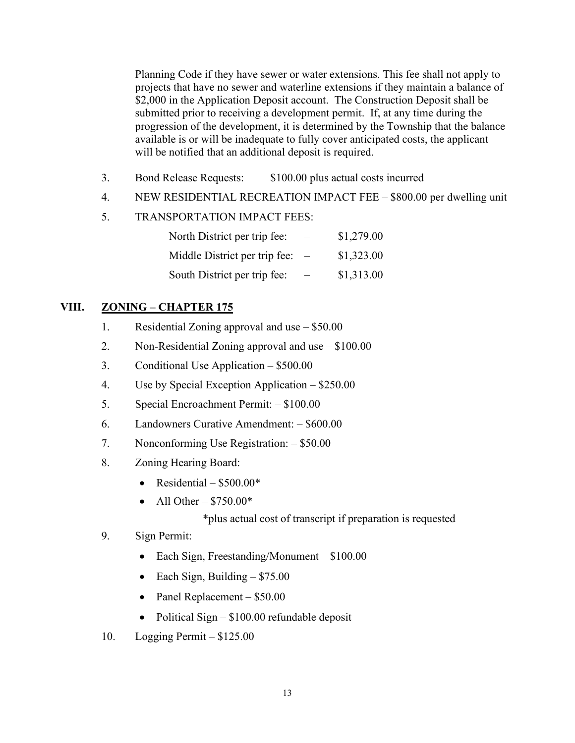Planning Code if they have sewer or water extensions. This fee shall not apply to projects that have no sewer and waterline extensions if they maintain a balance of \$2,000 in the Application Deposit account. The Construction Deposit shall be submitted prior to receiving a development permit. If, at any time during the progression of the development, it is determined by the Township that the balance available is or will be inadequate to fully cover anticipated costs, the applicant will be notified that an additional deposit is required.

- 3. Bond Release Requests: \$100.00 plus actual costs incurred
- 4. NEW RESIDENTIAL RECREATION IMPACT FEE \$800.00 per dwelling unit
- 5. TRANSPORTATION IMPACT FEES:

| North District per trip fee:  | \$1,279.00 |
|-------------------------------|------------|
| Middle District per trip fee: | \$1,323.00 |
| South District per trip fee:  | \$1,313.00 |

# **VIII. ZONING – CHAPTER 175**

- 1. Residential Zoning approval and use \$50.00
- 2. Non-Residential Zoning approval and use \$100.00
- 3. Conditional Use Application \$500.00
- 4. Use by Special Exception Application \$250.00
- 5. Special Encroachment Permit: \$100.00
- 6. Landowners Curative Amendment: \$600.00
- 7. Nonconforming Use Registration: \$50.00
- 8. Zoning Hearing Board:
	- Residential  $-$  \$500.00\*
	- All Other  $$750.00*$

\*plus actual cost of transcript if preparation is requested

- 9. Sign Permit:
	- Each Sign, Freestanding/Monument \$100.00
	- Each Sign, Building  $-$  \$75.00
	- Panel Replacement \$50.00
	- Political Sign \$100.00 refundable deposit
- 10. Logging Permit \$125.00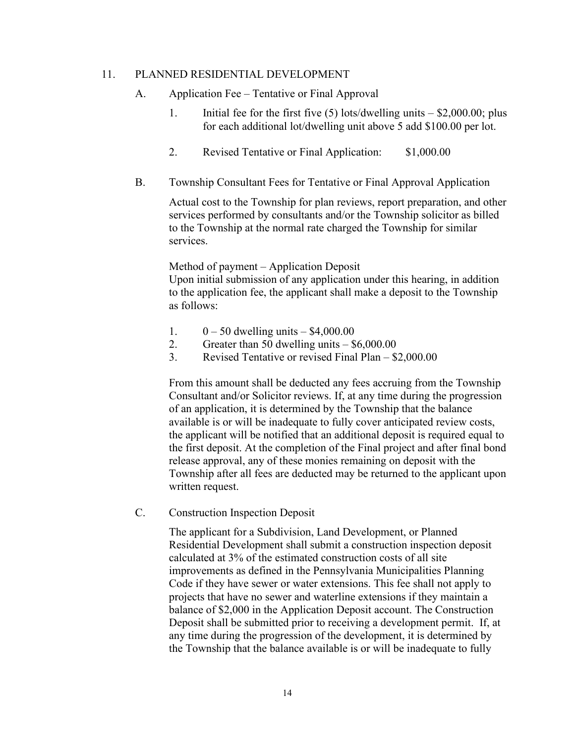#### 11. PLANNED RESIDENTIAL DEVELOPMENT

- A. Application Fee Tentative or Final Approval
	- 1. Initial fee for the first five  $(5)$  lots/dwelling units  $-$  \$2,000.00; plus for each additional lot/dwelling unit above 5 add \$100.00 per lot.
	- 2. Revised Tentative or Final Application: \$1,000.00
- B. Township Consultant Fees for Tentative or Final Approval Application

Actual cost to the Township for plan reviews, report preparation, and other services performed by consultants and/or the Township solicitor as billed to the Township at the normal rate charged the Township for similar services.

Method of payment – Application Deposit

Upon initial submission of any application under this hearing, in addition to the application fee, the applicant shall make a deposit to the Township as follows:

- 1.  $0 50$  dwelling units  $$4,000.00$
- 2. Greater than 50 dwelling units \$6,000.00
- 3. Revised Tentative or revised Final Plan \$2,000.00

From this amount shall be deducted any fees accruing from the Township Consultant and/or Solicitor reviews. If, at any time during the progression of an application, it is determined by the Township that the balance available is or will be inadequate to fully cover anticipated review costs, the applicant will be notified that an additional deposit is required equal to the first deposit. At the completion of the Final project and after final bond release approval, any of these monies remaining on deposit with the Township after all fees are deducted may be returned to the applicant upon written request.

C. Construction Inspection Deposit

The applicant for a Subdivision, Land Development, or Planned Residential Development shall submit a construction inspection deposit calculated at 3% of the estimated construction costs of all site improvements as defined in the Pennsylvania Municipalities Planning Code if they have sewer or water extensions. This fee shall not apply to projects that have no sewer and waterline extensions if they maintain a balance of \$2,000 in the Application Deposit account. The Construction Deposit shall be submitted prior to receiving a development permit. If, at any time during the progression of the development, it is determined by the Township that the balance available is or will be inadequate to fully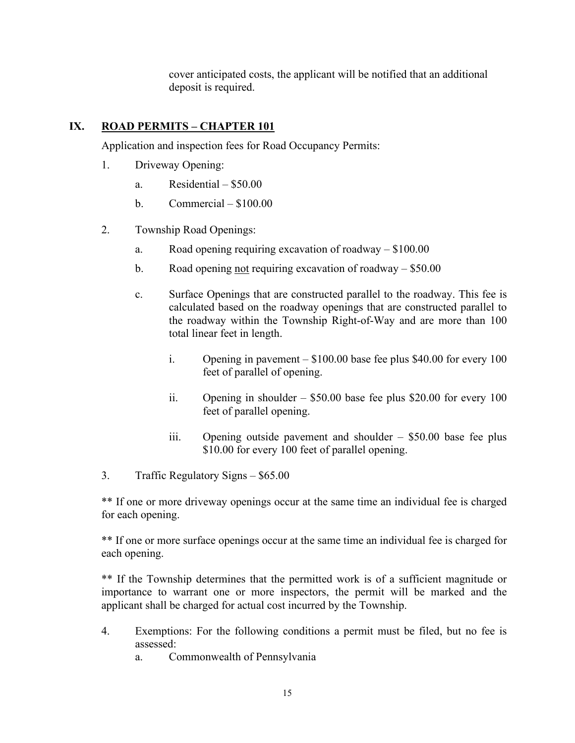cover anticipated costs, the applicant will be notified that an additional deposit is required.

# **IX. ROAD PERMITS – CHAPTER 101**

Application and inspection fees for Road Occupancy Permits:

- 1. Driveway Opening:
	- a. Residential \$50.00
	- b. Commercial  $-$  \$100.00
- 2. Township Road Openings:
	- a. Road opening requiring excavation of roadway \$100.00
	- b. Road opening not requiring excavation of roadway \$50.00
	- c. Surface Openings that are constructed parallel to the roadway. This fee is calculated based on the roadway openings that are constructed parallel to the roadway within the Township Right-of-Way and are more than 100 total linear feet in length.
		- i. Opening in pavement \$100.00 base fee plus \$40.00 for every 100 feet of parallel of opening.
		- ii. Opening in shoulder \$50.00 base fee plus \$20.00 for every 100 feet of parallel opening.
		- iii. Opening outside pavement and shoulder \$50.00 base fee plus \$10.00 for every 100 feet of parallel opening.
- 3. Traffic Regulatory Signs \$65.00

\*\* If one or more driveway openings occur at the same time an individual fee is charged for each opening.

\*\* If one or more surface openings occur at the same time an individual fee is charged for each opening.

\*\* If the Township determines that the permitted work is of a sufficient magnitude or importance to warrant one or more inspectors, the permit will be marked and the applicant shall be charged for actual cost incurred by the Township.

4. Exemptions: For the following conditions a permit must be filed, but no fee is assessed:

a. Commonwealth of Pennsylvania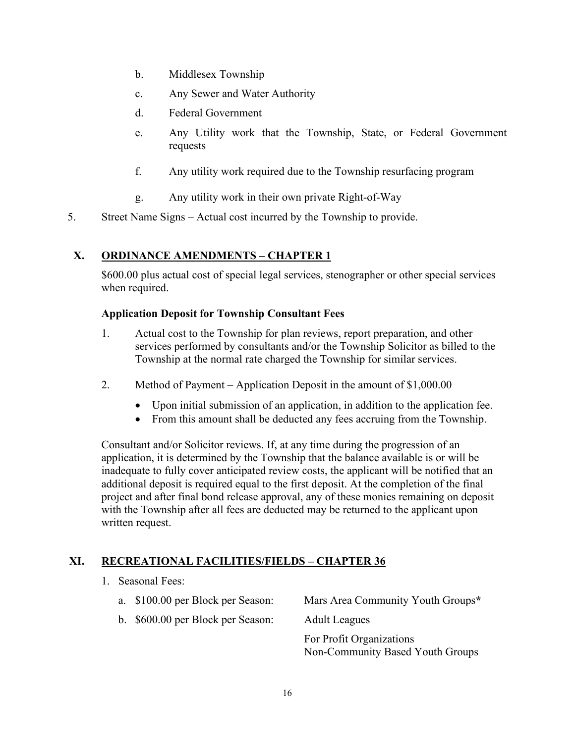- b. Middlesex Township
- c. Any Sewer and Water Authority
- d. Federal Government
- e. Any Utility work that the Township, State, or Federal Government requests
- f. Any utility work required due to the Township resurfacing program
- g. Any utility work in their own private Right-of-Way
- 5. Street Name Signs Actual cost incurred by the Township to provide.

# **X. ORDINANCE AMENDMENTS – CHAPTER 1**

\$600.00 plus actual cost of special legal services, stenographer or other special services when required.

### **Application Deposit for Township Consultant Fees**

- 1. Actual cost to the Township for plan reviews, report preparation, and other services performed by consultants and/or the Township Solicitor as billed to the Township at the normal rate charged the Township for similar services.
- 2. Method of Payment Application Deposit in the amount of \$1,000.00
	- Upon initial submission of an application, in addition to the application fee.
	- From this amount shall be deducted any fees accruing from the Township.

Consultant and/or Solicitor reviews. If, at any time during the progression of an application, it is determined by the Township that the balance available is or will be inadequate to fully cover anticipated review costs, the applicant will be notified that an additional deposit is required equal to the first deposit. At the completion of the final project and after final bond release approval, any of these monies remaining on deposit with the Township after all fees are deducted may be returned to the applicant upon written request.

# **XI. RECREATIONAL FACILITIES/FIELDS – CHAPTER 36**

1. Seasonal Fees:

| a. \$100.00 per Block per Season: | Mars Area Community Youth Groups*                            |
|-----------------------------------|--------------------------------------------------------------|
| b. \$600.00 per Block per Season: | <b>Adult Leagues</b>                                         |
|                                   | For Profit Organizations<br>Non-Community Based Youth Groups |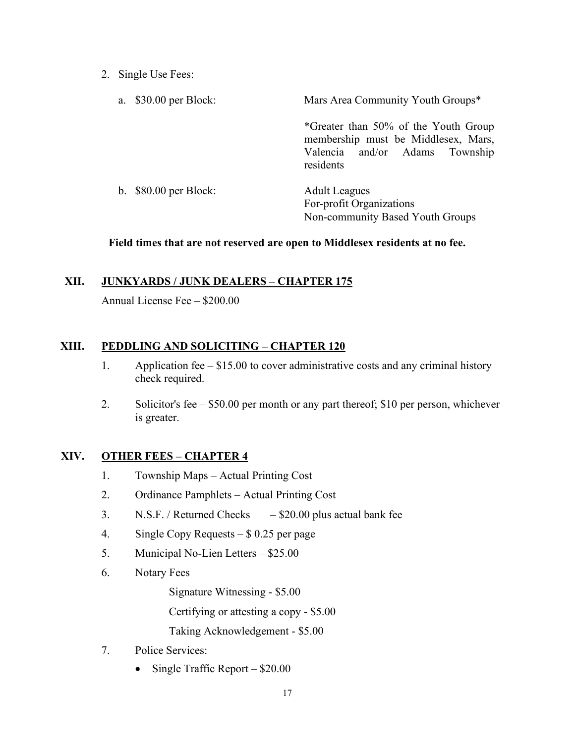2. Single Use Fees:

| a. \$30.00 per Block:  | Mars Area Community Youth Groups*                                                                                          |  |
|------------------------|----------------------------------------------------------------------------------------------------------------------------|--|
|                        | *Greater than 50% of the Youth Group<br>membership must be Middlesex, Mars,<br>Valencia and/or Adams Township<br>residents |  |
| b. $$80.00$ per Block: | <b>Adult Leagues</b><br>For-profit Organizations<br>Non-community Based Youth Groups                                       |  |

### **Field times that are not reserved are open to Middlesex residents at no fee.**

### **XII. JUNKYARDS / JUNK DEALERS – CHAPTER 175**

Annual License Fee – \$200.00

# **XIII. PEDDLING AND SOLICITING – CHAPTER 120**

- 1. Application fee \$15.00 to cover administrative costs and any criminal history check required.
- 2. Solicitor's fee \$50.00 per month or any part thereof; \$10 per person, whichever is greater.

### **XIV. OTHER FEES – CHAPTER 4**

- 1. Township Maps Actual Printing Cost
- 2. Ordinance Pamphlets Actual Printing Cost
- 3. N.S.F. / Returned Checks \$20.00 plus actual bank fee
- 4. Single Copy Requests \$ 0.25 per page
- 5. Municipal No-Lien Letters \$25.00
- 6. Notary Fees

Signature Witnessing - \$5.00

Certifying or attesting a copy - \$5.00

Taking Acknowledgement - \$5.00

- 7. Police Services:
	- Single Traffic Report \$20.00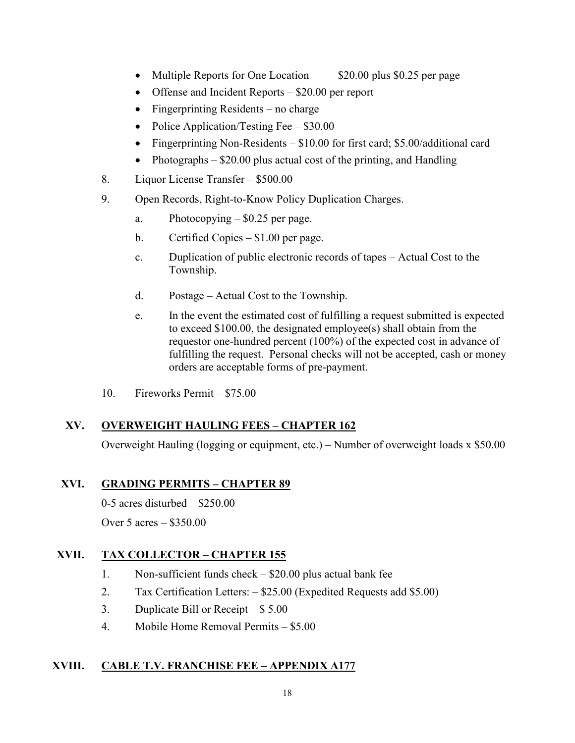- Multiple Reports for One Location \$20.00 plus \$0.25 per page
- Offense and Incident Reports \$20.00 per report
- Fingerprinting Residents no charge
- Police Application/Testing Fee \$30.00
- Fingerprinting Non-Residents \$10.00 for first card; \$5.00/additional card
- Photographs \$20.00 plus actual cost of the printing, and Handling
- 8. Liquor License Transfer \$500.00
- 9. Open Records, Right-to-Know Policy Duplication Charges.
	- a. Photocopying \$0.25 per page.
	- b. Certified Copies \$1.00 per page.
	- c. Duplication of public electronic records of tapes Actual Cost to the Township.
	- d. Postage Actual Cost to the Township.
	- e. In the event the estimated cost of fulfilling a request submitted is expected to exceed \$100.00, the designated employee(s) shall obtain from the requestor one-hundred percent (100%) of the expected cost in advance of fulfilling the request. Personal checks will not be accepted, cash or money orders are acceptable forms of pre-payment.
- 10. Fireworks Permit \$75.00

# **XV. OVERWEIGHT HAULING FEES – CHAPTER 162**

Overweight Hauling (logging or equipment, etc.) – Number of overweight loads x \$50.00

# **XVI. GRADING PERMITS – CHAPTER 89**

 $0-5$  acres disturbed  $-$  \$250.00

Over 5 acres – \$350.00

# **XVII. TAX COLLECTOR – CHAPTER 155**

- 1. Non-sufficient funds check \$20.00 plus actual bank fee
- 2. Tax Certification Letters: \$25.00 (Expedited Requests add \$5.00)
- 3. Duplicate Bill or Receipt  $-$  \$ 5.00
- 4. Mobile Home Removal Permits \$5.00

# **XVIII. CABLE T.V. FRANCHISE FEE – APPENDIX A177**